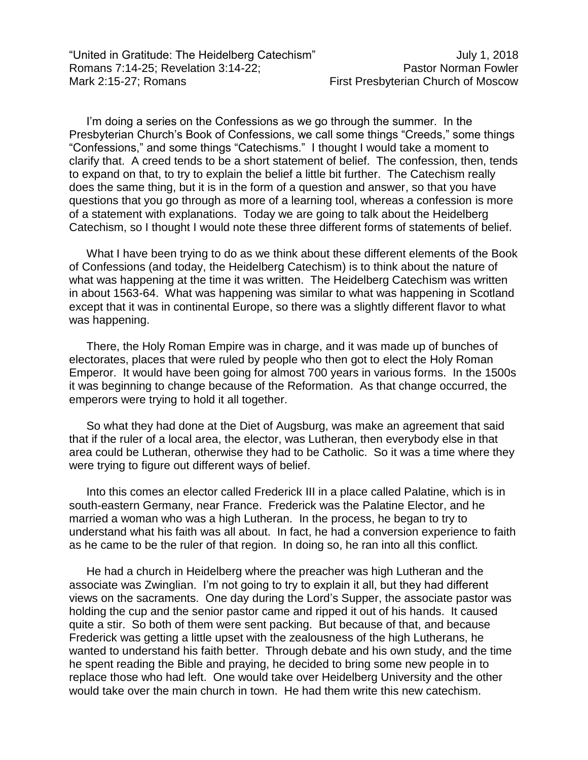"United in Gratitude: The Heidelberg Catechism" July 1, 2018 Romans 7:14-25; Revelation 3:14-22; Pastor Norman Fowler Mark 2:15-27; Romans **First Presbyterian Church of Moscow** 

I'm doing a series on the Confessions as we go through the summer. In the Presbyterian Church's Book of Confessions, we call some things "Creeds," some things "Confessions," and some things "Catechisms." I thought I would take a moment to clarify that. A creed tends to be a short statement of belief. The confession, then, tends to expand on that, to try to explain the belief a little bit further. The Catechism really does the same thing, but it is in the form of a question and answer, so that you have questions that you go through as more of a learning tool, whereas a confession is more of a statement with explanations. Today we are going to talk about the Heidelberg Catechism, so I thought I would note these three different forms of statements of belief.

What I have been trying to do as we think about these different elements of the Book of Confessions (and today, the Heidelberg Catechism) is to think about the nature of what was happening at the time it was written. The Heidelberg Catechism was written in about 1563-64. What was happening was similar to what was happening in Scotland except that it was in continental Europe, so there was a slightly different flavor to what was happening.

There, the Holy Roman Empire was in charge, and it was made up of bunches of electorates, places that were ruled by people who then got to elect the Holy Roman Emperor. It would have been going for almost 700 years in various forms. In the 1500s it was beginning to change because of the Reformation. As that change occurred, the emperors were trying to hold it all together.

So what they had done at the Diet of Augsburg, was make an agreement that said that if the ruler of a local area, the elector, was Lutheran, then everybody else in that area could be Lutheran, otherwise they had to be Catholic. So it was a time where they were trying to figure out different ways of belief.

Into this comes an elector called Frederick III in a place called Palatine, which is in south-eastern Germany, near France. Frederick was the Palatine Elector, and he married a woman who was a high Lutheran. In the process, he began to try to understand what his faith was all about. In fact, he had a conversion experience to faith as he came to be the ruler of that region. In doing so, he ran into all this conflict.

He had a church in Heidelberg where the preacher was high Lutheran and the associate was Zwinglian. I'm not going to try to explain it all, but they had different views on the sacraments. One day during the Lord's Supper, the associate pastor was holding the cup and the senior pastor came and ripped it out of his hands. It caused quite a stir. So both of them were sent packing. But because of that, and because Frederick was getting a little upset with the zealousness of the high Lutherans, he wanted to understand his faith better. Through debate and his own study, and the time he spent reading the Bible and praying, he decided to bring some new people in to replace those who had left. One would take over Heidelberg University and the other would take over the main church in town. He had them write this new catechism.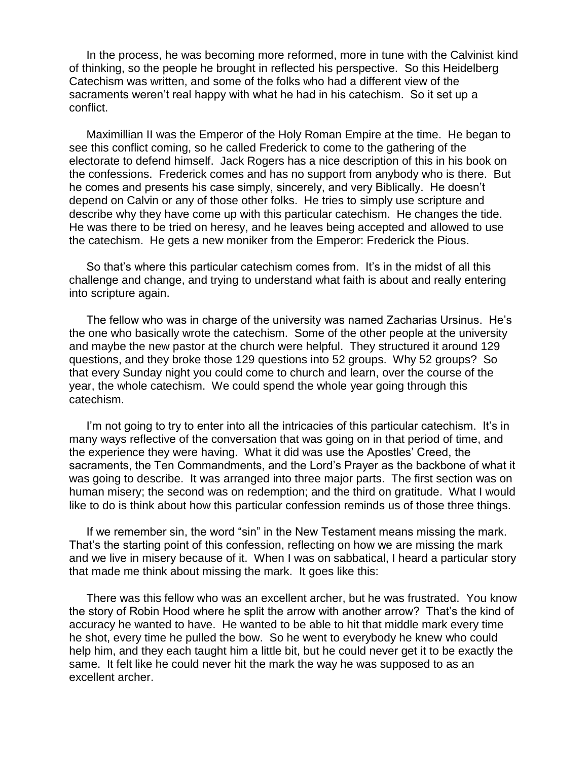In the process, he was becoming more reformed, more in tune with the Calvinist kind of thinking, so the people he brought in reflected his perspective. So this Heidelberg Catechism was written, and some of the folks who had a different view of the sacraments weren't real happy with what he had in his catechism. So it set up a conflict.

Maximillian II was the Emperor of the Holy Roman Empire at the time. He began to see this conflict coming, so he called Frederick to come to the gathering of the electorate to defend himself. Jack Rogers has a nice description of this in his book on the confessions. Frederick comes and has no support from anybody who is there. But he comes and presents his case simply, sincerely, and very Biblically. He doesn't depend on Calvin or any of those other folks. He tries to simply use scripture and describe why they have come up with this particular catechism. He changes the tide. He was there to be tried on heresy, and he leaves being accepted and allowed to use the catechism. He gets a new moniker from the Emperor: Frederick the Pious.

So that's where this particular catechism comes from. It's in the midst of all this challenge and change, and trying to understand what faith is about and really entering into scripture again.

The fellow who was in charge of the university was named Zacharias Ursinus. He's the one who basically wrote the catechism. Some of the other people at the university and maybe the new pastor at the church were helpful. They structured it around 129 questions, and they broke those 129 questions into 52 groups. Why 52 groups? So that every Sunday night you could come to church and learn, over the course of the year, the whole catechism. We could spend the whole year going through this catechism.

I'm not going to try to enter into all the intricacies of this particular catechism. It's in many ways reflective of the conversation that was going on in that period of time, and the experience they were having. What it did was use the Apostles' Creed, the sacraments, the Ten Commandments, and the Lord's Prayer as the backbone of what it was going to describe. It was arranged into three major parts. The first section was on human misery; the second was on redemption; and the third on gratitude. What I would like to do is think about how this particular confession reminds us of those three things.

If we remember sin, the word "sin" in the New Testament means missing the mark. That's the starting point of this confession, reflecting on how we are missing the mark and we live in misery because of it. When I was on sabbatical, I heard a particular story that made me think about missing the mark. It goes like this:

There was this fellow who was an excellent archer, but he was frustrated. You know the story of Robin Hood where he split the arrow with another arrow? That's the kind of accuracy he wanted to have. He wanted to be able to hit that middle mark every time he shot, every time he pulled the bow. So he went to everybody he knew who could help him, and they each taught him a little bit, but he could never get it to be exactly the same. It felt like he could never hit the mark the way he was supposed to as an excellent archer.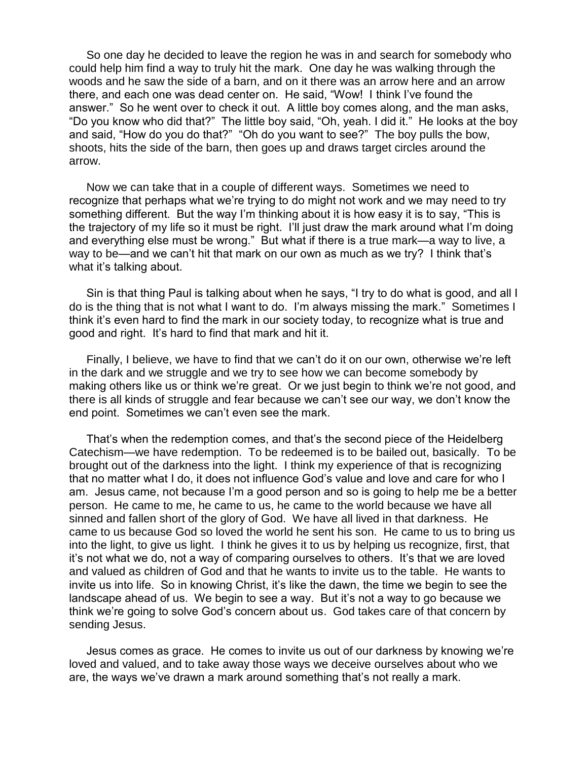So one day he decided to leave the region he was in and search for somebody who could help him find a way to truly hit the mark. One day he was walking through the woods and he saw the side of a barn, and on it there was an arrow here and an arrow there, and each one was dead center on. He said, "Wow! I think I've found the answer." So he went over to check it out. A little boy comes along, and the man asks, "Do you know who did that?" The little boy said, "Oh, yeah. I did it." He looks at the boy and said, "How do you do that?" "Oh do you want to see?" The boy pulls the bow, shoots, hits the side of the barn, then goes up and draws target circles around the arrow.

Now we can take that in a couple of different ways. Sometimes we need to recognize that perhaps what we're trying to do might not work and we may need to try something different. But the way I'm thinking about it is how easy it is to say, "This is the trajectory of my life so it must be right. I'll just draw the mark around what I'm doing and everything else must be wrong." But what if there is a true mark—a way to live, a way to be—and we can't hit that mark on our own as much as we try? I think that's what it's talking about.

Sin is that thing Paul is talking about when he says, "I try to do what is good, and all I do is the thing that is not what I want to do. I'm always missing the mark." Sometimes I think it's even hard to find the mark in our society today, to recognize what is true and good and right. It's hard to find that mark and hit it.

Finally, I believe, we have to find that we can't do it on our own, otherwise we're left in the dark and we struggle and we try to see how we can become somebody by making others like us or think we're great. Or we just begin to think we're not good, and there is all kinds of struggle and fear because we can't see our way, we don't know the end point. Sometimes we can't even see the mark.

That's when the redemption comes, and that's the second piece of the Heidelberg Catechism—we have redemption. To be redeemed is to be bailed out, basically. To be brought out of the darkness into the light. I think my experience of that is recognizing that no matter what I do, it does not influence God's value and love and care for who I am. Jesus came, not because I'm a good person and so is going to help me be a better person. He came to me, he came to us, he came to the world because we have all sinned and fallen short of the glory of God. We have all lived in that darkness. He came to us because God so loved the world he sent his son. He came to us to bring us into the light, to give us light. I think he gives it to us by helping us recognize, first, that it's not what we do, not a way of comparing ourselves to others. It's that we are loved and valued as children of God and that he wants to invite us to the table. He wants to invite us into life. So in knowing Christ, it's like the dawn, the time we begin to see the landscape ahead of us. We begin to see a way. But it's not a way to go because we think we're going to solve God's concern about us. God takes care of that concern by sending Jesus.

Jesus comes as grace. He comes to invite us out of our darkness by knowing we're loved and valued, and to take away those ways we deceive ourselves about who we are, the ways we've drawn a mark around something that's not really a mark.